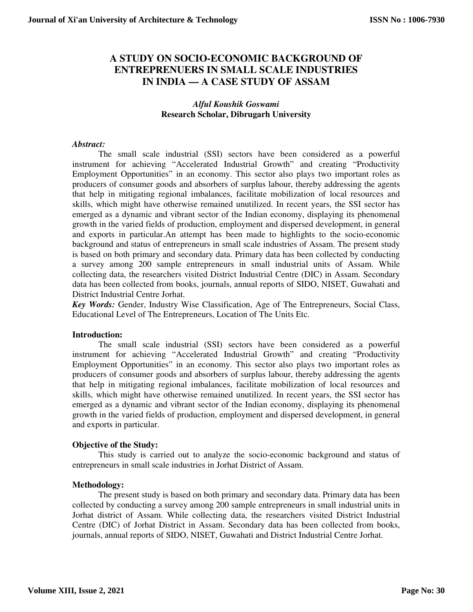# **A STUDY ON SOCIO-ECONOMIC BACKGROUND OF ENTREPRENUERS IN SMALL SCALE INDUSTRIES IN INDIA — A CASE STUDY OF ASSAM**

## *Alful Koushik Goswami*  **Research Scholar, Dibrugarh University**

## *Abstract:*

 The small scale industrial (SSI) sectors have been considered as a powerful instrument for achieving "Accelerated Industrial Growth" and creating "Productivity Employment Opportunities" in an economy. This sector also plays two important roles as producers of consumer goods and absorbers of surplus labour, thereby addressing the agents that help in mitigating regional imbalances, facilitate mobilization of local resources and skills, which might have otherwise remained unutilized. In recent years, the SSI sector has emerged as a dynamic and vibrant sector of the Indian economy, displaying its phenomenal growth in the varied fields of production, employment and dispersed development, in general and exports in particular.An attempt has been made to highlights to the socio-economic background and status of entrepreneurs in small scale industries of Assam. The present study is based on both primary and secondary data. Primary data has been collected by conducting a survey among 200 sample entrepreneurs in small industrial units of Assam. While collecting data, the researchers visited District Industrial Centre (DIC) in Assam. Secondary data has been collected from books, journals, annual reports of SIDO, NISET, Guwahati and District Industrial Centre Jorhat.

*Key Words:* Gender, Industry Wise Classification, Age of The Entrepreneurs, Social Class, Educational Level of The Entrepreneurs, Location of The Units Etc.

#### **Introduction:**

 The small scale industrial (SSI) sectors have been considered as a powerful instrument for achieving "Accelerated Industrial Growth" and creating "Productivity Employment Opportunities" in an economy. This sector also plays two important roles as producers of consumer goods and absorbers of surplus labour, thereby addressing the agents that help in mitigating regional imbalances, facilitate mobilization of local resources and skills, which might have otherwise remained unutilized. In recent years, the SSI sector has emerged as a dynamic and vibrant sector of the Indian economy, displaying its phenomenal growth in the varied fields of production, employment and dispersed development, in general and exports in particular.

#### **Objective of the Study:**

 This study is carried out to analyze the socio-economic background and status of entrepreneurs in small scale industries in Jorhat District of Assam.

#### **Methodology:**

 The present study is based on both primary and secondary data. Primary data has been collected by conducting a survey among 200 sample entrepreneurs in small industrial units in Jorhat district of Assam. While collecting data, the researchers visited District Industrial Centre (DIC) of Jorhat District in Assam. Secondary data has been collected from books, journals, annual reports of SIDO, NISET, Guwahati and District Industrial Centre Jorhat.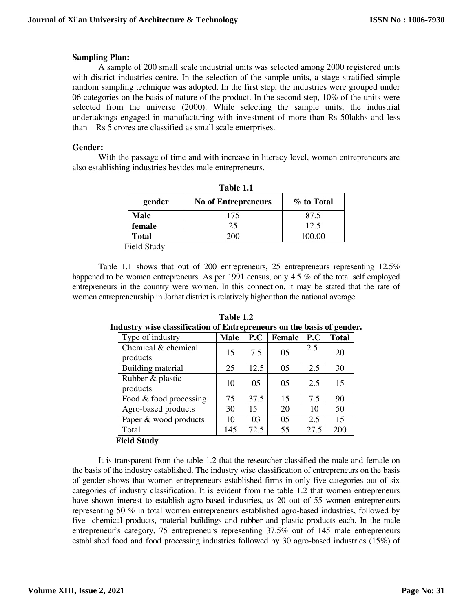### **Sampling Plan:**

 A sample of 200 small scale industrial units was selected among 2000 registered units with district industries centre. In the selection of the sample units, a stage stratified simple random sampling technique was adopted. In the first step, the industries were grouped under 06 categories on the basis of nature of the product. In the second step, 10% of the units were selected from the universe (2000). While selecting the sample units, the industrial undertakings engaged in manufacturing with investment of more than Rs 50lakhs and less than Rs 5 crores are classified as small scale enterprises.

#### **Gender:**

 With the passage of time and with increase in literacy level, women entrepreneurs are also establishing industries besides male entrepreneurs.

| Table 1.1    |                            |            |  |
|--------------|----------------------------|------------|--|
| gender       | <b>No of Entrepreneurs</b> | % to Total |  |
| Male         | 175                        | 87.5       |  |
| female       | 25                         | 12.5       |  |
| <b>Total</b> |                            | 100.00     |  |
| -----        |                            |            |  |

Field Study

 Table 1.1 shows that out of 200 entrepreneurs, 25 entrepreneurs representing 12.5% happened to be women entrepreneurs. As per 1991 census, only 4.5 % of the total self employed entrepreneurs in the country were women. In this connection, it may be stated that the rate of women entrepreneurship in Jorhat district is relatively higher than the national average.

| Type of industry                | <b>Male</b> | P.C  | <b>Female</b> | P.C  | $\sim$<br><b>Total</b> |
|---------------------------------|-------------|------|---------------|------|------------------------|
| Chemical & chemical<br>products | 15          | 7.5  | 05            | 2.5  | 20                     |
| Building material               | 25          | 12.5 | 05            | 2.5  | 30                     |
| Rubber & plastic<br>products    | 10          | 05   | 05            | 2.5  | 15                     |
| Food & food processing          | 75          | 37.5 | 15            | 7.5  | 90                     |
| Agro-based products             | 30          | 15   | 20            | 10   | 50                     |
| Paper & wood products           | 10          | 03   | 05            | 2.5  | 15                     |
| Total                           | 145         | 72.5 | 55            | 27.5 | 200                    |
| <b>Field Study</b>              |             |      |               |      |                        |

**Table 1.2 Industry wise classification of Entrepreneurs on the basis of gender.** 

 It is transparent from the table 1.2 that the researcher classified the male and female on the basis of the industry established. The industry wise classification of entrepreneurs on the basis of gender shows that women entrepreneurs established firms in only five categories out of six categories of industry classification. It is evident from the table 1.2 that women entrepreneurs have shown interest to establish agro-based industries, as 20 out of 55 women entrepreneurs representing 50 % in total women entrepreneurs established agro-based industries, followed by five chemical products, material buildings and rubber and plastic products each. In the male entrepreneur's category, 75 entrepreneurs representing 37.5% out of 145 male entrepreneurs established food and food processing industries followed by 30 agro-based industries (15%) of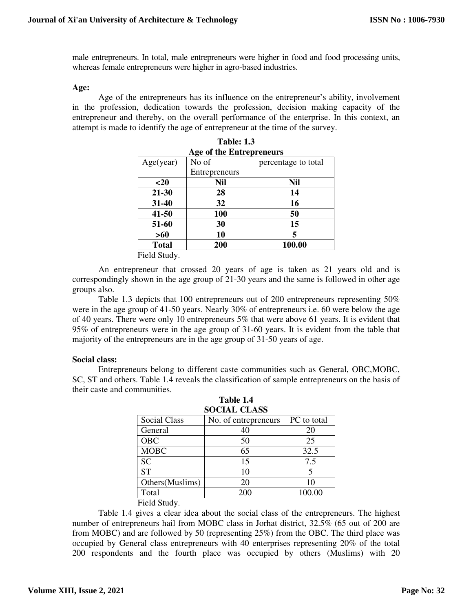male entrepreneurs. In total, male entrepreneurs were higher in food and food processing units, whereas female entrepreneurs were higher in agro-based industries.

#### **Age:**

 Age of the entrepreneurs has its influence on the entrepreneur's ability, involvement in the profession, dedication towards the profession, decision making capacity of the entrepreneur and thereby, on the overall performance of the enterprise. In this context, an attempt is made to identify the age of entrepreneur at the time of the survey.

| Age of the Entrepreneurs |               |                     |  |
|--------------------------|---------------|---------------------|--|
| Age(year)                | No of         | percentage to total |  |
|                          | Entrepreneurs |                     |  |
| $20$                     | <b>Nil</b>    | Nil                 |  |
| $21 - 30$                | 28            | 14                  |  |
| 31-40                    | 32            | 16                  |  |
| $41 - 50$                | <b>100</b>    | 50                  |  |
| 51-60                    | 30            | 15                  |  |
| >60                      | 10            | 5                   |  |
| <b>Total</b>             | 200           | 100.00              |  |
| Field Study              |               |                     |  |

|     | <b>Table: 1.3</b>         |                   |
|-----|---------------------------|-------------------|
|     | Age of the Entrepreneurs  |                   |
| յո\ | $\overline{\text{Na}}$ of | percentage to tot |

Field Study.

 An entrepreneur that crossed 20 years of age is taken as 21 years old and is correspondingly shown in the age group of 21-30 years and the same is followed in other age groups also.

 Table 1.3 depicts that 100 entrepreneurs out of 200 entrepreneurs representing 50% were in the age group of 41-50 years. Nearly 30% of entrepreneurs i.e. 60 were below the age of 40 years. There were only 10 entrepreneurs 5% that were above 61 years. It is evident that 95% of entrepreneurs were in the age group of 31-60 years. It is evident from the table that majority of the entrepreneurs are in the age group of 31-50 years of age.

## **Social class:**

 Entrepreneurs belong to different caste communities such as General, OBC,MOBC, SC, ST and others. Table 1.4 reveals the classification of sample entrepreneurs on the basis of their caste and communities.

**Table 1.4** 

| <b>SOCIAL CLASS</b> |                      |             |  |
|---------------------|----------------------|-------------|--|
| <b>Social Class</b> | No. of entrepreneurs | PC to total |  |
| General             |                      | 20          |  |
| <b>OBC</b>          | 50                   | 25          |  |
| <b>MOBC</b>         | 65                   | 32.5        |  |
| <b>SC</b>           | 15                   | 7.5         |  |
| <b>ST</b>           | 10                   | 5           |  |
| Others (Muslims)    | 20                   | 10          |  |
| Total               | 200                  | 100.00      |  |

| тами те |                    |  |
|---------|--------------------|--|
|         | <b>OCIAL CLASS</b> |  |

## Field Study.

 Table 1.4 gives a clear idea about the social class of the entrepreneurs. The highest number of entrepreneurs hail from MOBC class in Jorhat district, 32.5% (65 out of 200 are from MOBC) and are followed by 50 (representing 25%) from the OBC. The third place was occupied by General class entrepreneurs with 40 enterprises representing 20% of the total 200 respondents and the fourth place was occupied by others (Muslims) with 20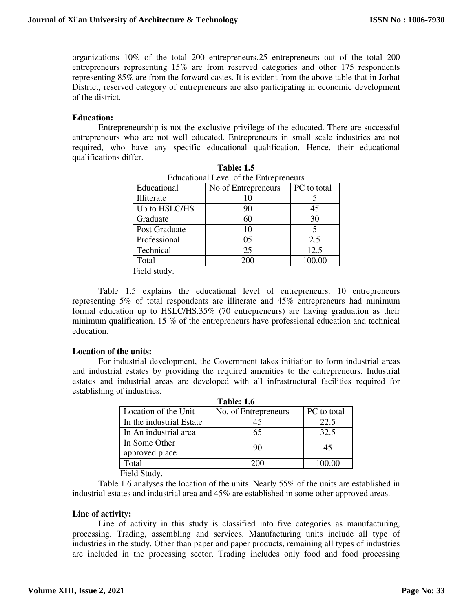organizations 10% of the total 200 entrepreneurs.25 entrepreneurs out of the total 200 entrepreneurs representing 15% are from reserved categories and other 175 respondents representing 85% are from the forward castes. It is evident from the above table that in Jorhat District, reserved category of entrepreneurs are also participating in economic development of the district.

#### **Education:**

 Entrepreneurship is not the exclusive privilege of the educated. There are successful entrepreneurs who are not well educated. Entrepreneurs in small scale industries are not required, who have any specific educational qualification. Hence, their educational qualifications differ.

| Educational Level of the Entrepreneurs |                     |             |  |  |
|----------------------------------------|---------------------|-------------|--|--|
| Educational                            | No of Entrepreneurs | PC to total |  |  |
| Illiterate                             | 10                  |             |  |  |
| Up to HSLC/HS                          | 90                  | 45          |  |  |
| Graduate                               | 60                  | 30          |  |  |
| Post Graduate                          | 10                  | 5           |  |  |
| Professional                           | 05                  | 2.5         |  |  |
| Technical                              | 25                  | 12.5        |  |  |
| Total                                  | 200                 | 100.00      |  |  |
| <b>TU11</b>                            |                     |             |  |  |

| <b>Table: 1.5</b>                      |  |
|----------------------------------------|--|
| Educational Level of the Entrepreneurs |  |

Field study.

 Table 1.5 explains the educational level of entrepreneurs. 10 entrepreneurs representing 5% of total respondents are illiterate and 45% entrepreneurs had minimum formal education up to HSLC/HS.35% (70 entrepreneurs) are having graduation as their minimum qualification. 15 % of the entrepreneurs have professional education and technical education.

## **Location of the units:**

 For industrial development, the Government takes initiation to form industrial areas and industrial estates by providing the required amenities to the entrepreneurs. Industrial estates and industrial areas are developed with all infrastructural facilities required for establishing of industries. **Table: 1.6** 

| 1 apie: 1.6                     |                      |             |  |  |
|---------------------------------|----------------------|-------------|--|--|
| Location of the Unit            | No. of Entrepreneurs | PC to total |  |  |
| In the industrial Estate        | 45                   | 22.5        |  |  |
| In An industrial area           | 65                   | 32.5        |  |  |
| In Some Other<br>approved place | 90                   | 45          |  |  |
| Total                           | 200                  | 100.00      |  |  |

Field Study.

 Table 1.6 analyses the location of the units. Nearly 55% of the units are established in industrial estates and industrial area and 45% are established in some other approved areas.

#### **Line of activity:**

 Line of activity in this study is classified into five categories as manufacturing, processing. Trading, assembling and services. Manufacturing units include all type of industries in the study. Other than paper and paper products, remaining all types of industries are included in the processing sector. Trading includes only food and food processing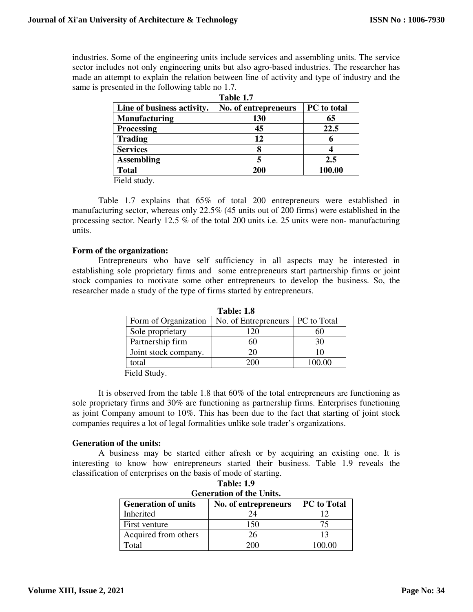industries. Some of the engineering units include services and assembling units. The service sector includes not only engineering units but also agro-based industries. The researcher has made an attempt to explain the relation between line of activity and type of industry and the same is presented in the following table no 1.7.

| Line of business activity. | No. of entrepreneurs | PC to total |
|----------------------------|----------------------|-------------|
| <b>Manufacturing</b>       | 130                  | 65          |
| <b>Processing</b>          | 45                   | 22.5        |
| <b>Trading</b>             | 12                   |             |
| <b>Services</b>            |                      |             |
| <b>Assembling</b>          |                      | 2.5         |
| <b>Total</b>               | 200                  | 100.00      |

**Table 1.7** 

Field study.

 Table 1.7 explains that 65% of total 200 entrepreneurs were established in manufacturing sector, whereas only 22.5% (45 units out of 200 firms) were established in the processing sector. Nearly 12.5 % of the total 200 units i.e. 25 units were non- manufacturing units.

## **Form of the organization:**

 Entrepreneurs who have self sufficiency in all aspects may be interested in establishing sole proprietary firms and some entrepreneurs start partnership firms or joint stock companies to motivate some other entrepreneurs to develop the business. So, the researcher made a study of the type of firms started by entrepreneurs.

| 1 adie: 1.8          |                                    |        |  |  |
|----------------------|------------------------------------|--------|--|--|
| Form of Organization | No. of Entrepreneurs   PC to Total |        |  |  |
| Sole proprietary     | 120                                |        |  |  |
| Partnership firm     |                                    | 30     |  |  |
| Joint stock company. | 20                                 | 10     |  |  |
| total                |                                    | 100.00 |  |  |

**Table: 1.8** 

Field Study.

 It is observed from the table 1.8 that 60% of the total entrepreneurs are functioning as sole proprietary firms and 30% are functioning as partnership firms. Enterprises functioning as joint Company amount to 10%. This has been due to the fact that starting of joint stock companies requires a lot of legal formalities unlike sole trader's organizations.

## **Generation of the units:**

 A business may be started either afresh or by acquiring an existing one. It is interesting to know how entrepreneurs started their business. Table 1.9 reveals the classification of enterprises on the basis of mode of starting.

**Table: 1.9** 

| тане: 1.9<br><b>Generation of the Units.</b>                             |        |        |  |  |
|--------------------------------------------------------------------------|--------|--------|--|--|
| <b>PC</b> to Total<br><b>Generation of units</b><br>No. of entrepreneurs |        |        |  |  |
| <b>Inherited</b>                                                         | 24     |        |  |  |
| First venture                                                            | 150    | 75     |  |  |
| Acquired from others                                                     | 26     | 13     |  |  |
| Total                                                                    | 20 Y N | LOO OO |  |  |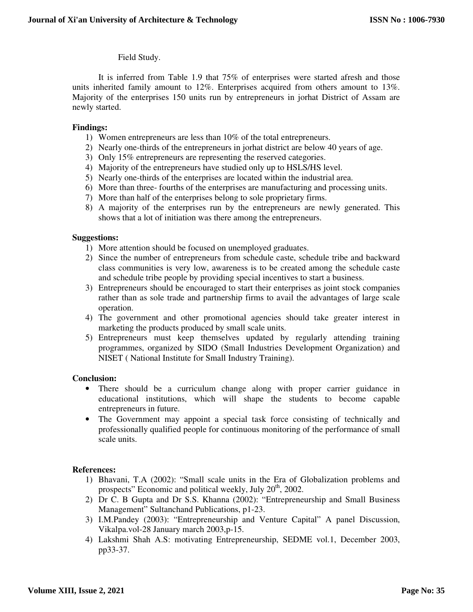## Field Study.

 It is inferred from Table 1.9 that 75% of enterprises were started afresh and those units inherited family amount to 12%. Enterprises acquired from others amount to 13%. Majority of the enterprises 150 units run by entrepreneurs in jorhat District of Assam are newly started.

## **Findings:**

- 1) Women entrepreneurs are less than 10% of the total entrepreneurs.
- 2) Nearly one-thirds of the entrepreneurs in jorhat district are below 40 years of age.
- 3) Only 15% entrepreneurs are representing the reserved categories.
- 4) Majority of the entrepreneurs have studied only up to HSLS/HS level.
- 5) Nearly one-thirds of the enterprises are located within the industrial area.
- 6) More than three- fourths of the enterprises are manufacturing and processing units.
- 7) More than half of the enterprises belong to sole proprietary firms.
- 8) A majority of the enterprises run by the entrepreneurs are newly generated. This shows that a lot of initiation was there among the entrepreneurs.

## **Suggestions:**

- 1) More attention should be focused on unemployed graduates.
- 2) Since the number of entrepreneurs from schedule caste, schedule tribe and backward class communities is very low, awareness is to be created among the schedule caste and schedule tribe people by providing special incentives to start a business.
- 3) Entrepreneurs should be encouraged to start their enterprises as joint stock companies rather than as sole trade and partnership firms to avail the advantages of large scale operation.
- 4) The government and other promotional agencies should take greater interest in marketing the products produced by small scale units.
- 5) Entrepreneurs must keep themselves updated by regularly attending training programmes, organized by SIDO (Small Industries Development Organization) and NISET ( National Institute for Small Industry Training).

## **Conclusion:**

- There should be a curriculum change along with proper carrier guidance in educational institutions, which will shape the students to become capable entrepreneurs in future.
- The Government may appoint a special task force consisting of technically and professionally qualified people for continuous monitoring of the performance of small scale units.

## **References:**

- 1) Bhavani, T.A (2002): "Small scale units in the Era of Globalization problems and prospects" Economic and political weekly, July  $20<sup>th</sup>$ , 2002.
- 2) Dr C. B Gupta and Dr S.S. Khanna (2002): "Entrepreneurship and Small Business Management" Sultanchand Publications, p1-23.
- 3) I.M.Pandey (2003): "Entrepreneurship and Venture Capital" A panel Discussion, Vikalpa.vol-28 January march 2003,p-15.
- 4) Lakshmi Shah A.S: motivating Entrepreneurship, SEDME vol.1, December 2003, pp33-37.